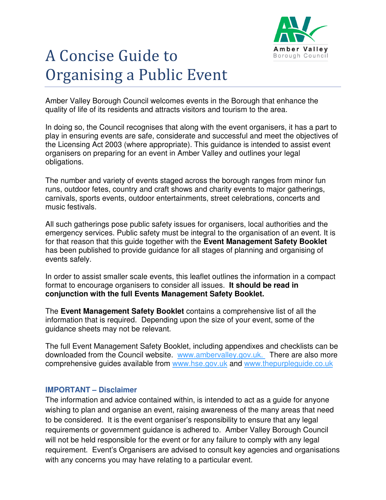

# A Concise Guide to Organising a Public Event

Amber Valley Borough Council welcomes events in the Borough that enhance the quality of life of its residents and attracts visitors and tourism to the area.

In doing so, the Council recognises that along with the event organisers, it has a part to play in ensuring events are safe, considerate and successful and meet the objectives of the Licensing Act 2003 (where appropriate). This guidance is intended to assist event organisers on preparing for an event in Amber Valley and outlines your legal obligations.

The number and variety of events staged across the borough ranges from minor fun runs, outdoor fetes, country and craft shows and charity events to major gatherings, carnivals, sports events, outdoor entertainments, street celebrations, concerts and music festivals.

All such gatherings pose public safety issues for organisers, local authorities and the emergency services. Public safety must be integral to the organisation of an event. It is for that reason that this guide together with the **Event Management Safety Booklet** has been published to provide guidance for all stages of planning and organising of events safely.

In order to assist smaller scale events, this leaflet outlines the information in a compact format to encourage organisers to consider all issues. **It should be read in conjunction with the full Events Management Safety Booklet.** 

The **Event Management Safety Booklet** contains a comprehensive list of all the information that is required. Depending upon the size of your event, some of the guidance sheets may not be relevant.

The full Event Management Safety Booklet, including appendixes and checklists can be downloaded from the Council website. www.ambervalley.gov.uk. There are also more comprehensive guides available from www.hse.gov.uk and www.thepurpleguide.co.uk

#### **IMPORTANT – Disclaimer**

The information and advice contained within, is intended to act as a guide for anyone wishing to plan and organise an event, raising awareness of the many areas that need to be considered. It is the event organiser's responsibility to ensure that any legal requirements or government guidance is adhered to. Amber Valley Borough Council will not be held responsible for the event or for any failure to comply with any legal requirement. Event's Organisers are advised to consult key agencies and organisations with any concerns you may have relating to a particular event.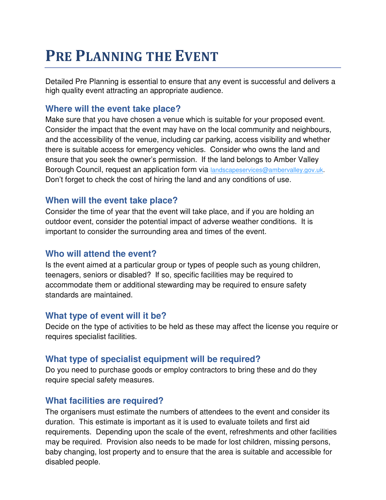# **PRE PLANNING THE EVENT**

Detailed Pre Planning is essential to ensure that any event is successful and delivers a high quality event attracting an appropriate audience.

#### **Where will the event take place?**

Make sure that you have chosen a venue which is suitable for your proposed event. Consider the impact that the event may have on the local community and neighbours, and the accessibility of the venue, including car parking, access visibility and whether there is suitable access for emergency vehicles. Consider who owns the land and ensure that you seek the owner's permission. If the land belongs to Amber Valley Borough Council, request an application form via landscapeservices@ambervalley.gov.uk. Don't forget to check the cost of hiring the land and any conditions of use.

#### **When will the event take place?**

Consider the time of year that the event will take place, and if you are holding an outdoor event, consider the potential impact of adverse weather conditions. It is important to consider the surrounding area and times of the event.

#### **Who will attend the event?**

Is the event aimed at a particular group or types of people such as young children, teenagers, seniors or disabled? If so, specific facilities may be required to accommodate them or additional stewarding may be required to ensure safety standards are maintained.

#### **What type of event will it be?**

Decide on the type of activities to be held as these may affect the license you require or requires specialist facilities.

#### **What type of specialist equipment will be required?**

Do you need to purchase goods or employ contractors to bring these and do they require special safety measures.

#### **What facilities are required?**

The organisers must estimate the numbers of attendees to the event and consider its duration. This estimate is important as it is used to evaluate toilets and first aid requirements. Depending upon the scale of the event, refreshments and other facilities may be required. Provision also needs to be made for lost children, missing persons, baby changing, lost property and to ensure that the area is suitable and accessible for disabled people.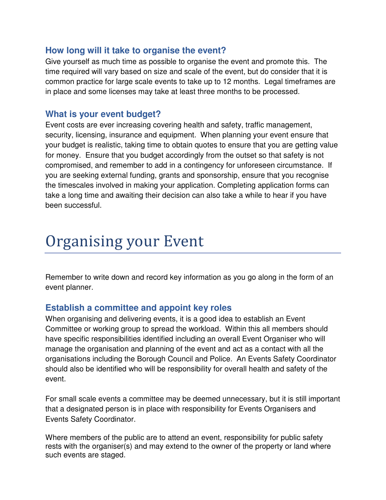#### **How long will it take to organise the event?**

Give yourself as much time as possible to organise the event and promote this. The time required will vary based on size and scale of the event, but do consider that it is common practice for large scale events to take up to 12 months. Legal timeframes are in place and some licenses may take at least three months to be processed.

#### **What is your event budget?**

Event costs are ever increasing covering health and safety, traffic management, security, licensing, insurance and equipment. When planning your event ensure that your budget is realistic, taking time to obtain quotes to ensure that you are getting value for money. Ensure that you budget accordingly from the outset so that safety is not compromised, and remember to add in a contingency for unforeseen circumstance. If you are seeking external funding, grants and sponsorship, ensure that you recognise the timescales involved in making your application. Completing application forms can take a long time and awaiting their decision can also take a while to hear if you have been successful.

### Organising your Event

Remember to write down and record key information as you go along in the form of an event planner.

#### **Establish a committee and appoint key roles**

When organising and delivering events, it is a good idea to establish an Event Committee or working group to spread the workload. Within this all members should have specific responsibilities identified including an overall Event Organiser who will manage the organisation and planning of the event and act as a contact with all the organisations including the Borough Council and Police. An Events Safety Coordinator should also be identified who will be responsibility for overall health and safety of the event.

For small scale events a committee may be deemed unnecessary, but it is still important that a designated person is in place with responsibility for Events Organisers and Events Safety Coordinator.

Where members of the public are to attend an event, responsibility for public safety rests with the organiser(s) and may extend to the owner of the property or land where such events are staged.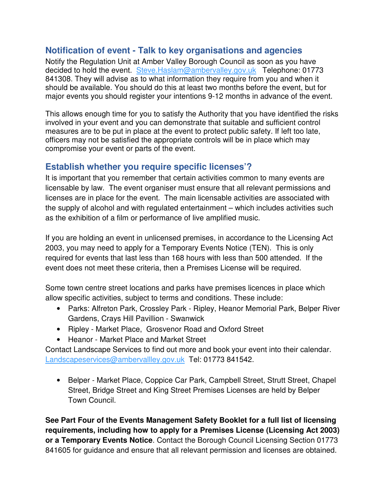#### **Notification of event - Talk to key organisations and agencies**

Notify the Regulation Unit at Amber Valley Borough Council as soon as you have decided to hold the event. Steve.Haslam@ambervalley.gov.uk Telephone: 01773 841308. They will advise as to what information they require from you and when it should be available. You should do this at least two months before the event, but for major events you should register your intentions 9-12 months in advance of the event.

This allows enough time for you to satisfy the Authority that you have identified the risks involved in your event and you can demonstrate that suitable and sufficient control measures are to be put in place at the event to protect public safety. If left too late, officers may not be satisfied the appropriate controls will be in place which may compromise your event or parts of the event.

#### **Establish whether you require specific licenses'?**

It is important that you remember that certain activities common to many events are licensable by law. The event organiser must ensure that all relevant permissions and licenses are in place for the event. The main licensable activities are associated with the supply of alcohol and with regulated entertainment – which includes activities such as the exhibition of a film or performance of live amplified music.

If you are holding an event in unlicensed premises, in accordance to the Licensing Act 2003, you may need to apply for a Temporary Events Notice (TEN). This is only required for events that last less than 168 hours with less than 500 attended. If the event does not meet these criteria, then a Premises License will be required.

Some town centre street locations and parks have premises licences in place which allow specific activities, subject to terms and conditions. These include:

- Parks: Alfreton Park, Crossley Park Ripley, Heanor Memorial Park, Belper River Gardens, Crays Hill Pavillion - Swanwick
- Ripley Market Place, Grosvenor Road and Oxford Street
- Heanor Market Place and Market Street

Contact Landscape Services to find out more and book your event into their calendar. Landscapeservices@ambervallley.gov.uk Tel: 01773 841542.

• Belper - Market Place, Coppice Car Park, Campbell Street, Strutt Street, Chapel Street, Bridge Street and King Street Premises Licenses are held by Belper Town Council.

**See Part Four of the Events Management Safety Booklet for a full list of licensing**  requirements, including how to apply for a Premises License (Licensing Act 2003) **or a Temporary Events Notice**. Contact the Borough Council Licensing Section 01773 841605 for guidance and ensure that all relevant permission and licenses are obtained.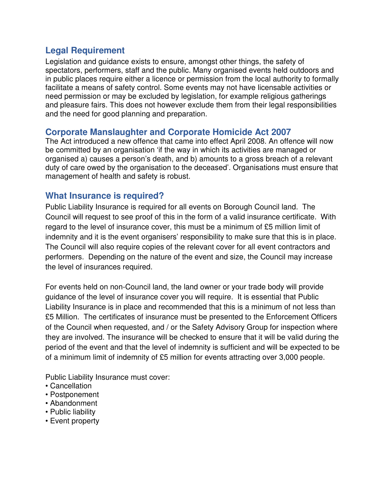#### **Legal Requirement**

Legislation and guidance exists to ensure, amongst other things, the safety of spectators, performers, staff and the public. Many organised events held outdoors and in public places require either a licence or permission from the local authority to formally facilitate a means of safety control. Some events may not have licensable activities or need permission or may be excluded by legislation, for example religious gatherings and pleasure fairs. This does not however exclude them from their legal responsibilities and the need for good planning and preparation.

#### **Corporate Manslaughter and Corporate Homicide Act 2007**

The Act introduced a new offence that came into effect April 2008. An offence will now be committed by an organisation 'if the way in which its activities are managed or organised a) causes a person's death, and b) amounts to a gross breach of a relevant duty of care owed by the organisation to the deceased'. Organisations must ensure that management of health and safety is robust.

#### **What Insurance is required?**

Public Liability Insurance is required for all events on Borough Council land. The Council will request to see proof of this in the form of a valid insurance certificate. With regard to the level of insurance cover, this must be a minimum of £5 million limit of indemnity and it is the event organisers' responsibility to make sure that this is in place. The Council will also require copies of the relevant cover for all event contractors and performers. Depending on the nature of the event and size, the Council may increase the level of insurances required.

For events held on non-Council land, the land owner or your trade body will provide guidance of the level of insurance cover you will require. It is essential that Public Liability Insurance is in place and recommended that this is a minimum of not less than £5 Million. The certificates of insurance must be presented to the Enforcement Officers of the Council when requested, and / or the Safety Advisory Group for inspection where they are involved. The insurance will be checked to ensure that it will be valid during the period of the event and that the level of indemnity is sufficient and will be expected to be of a minimum limit of indemnity of £5 million for events attracting over 3,000 people.

Public Liability Insurance must cover:

- Cancellation
- Postponement
- Abandonment
- Public liability
- Event property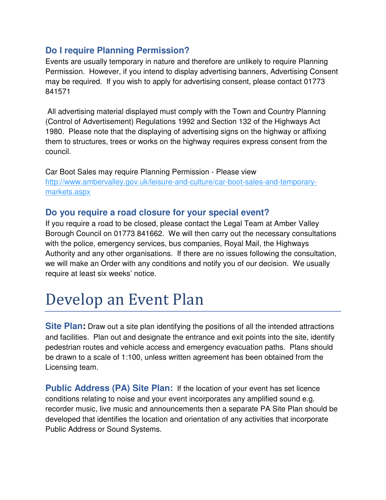#### **Do I require Planning Permission?**

Events are usually temporary in nature and therefore are unlikely to require Planning Permission. However, if you intend to display advertising banners, Advertising Consent may be required. If you wish to apply for advertising consent, please contact 01773 841571

 All advertising material displayed must comply with the Town and Country Planning (Control of Advertisement) Regulations 1992 and Section 132 of the Highways Act 1980. Please note that the displaying of advertising signs on the highway or affixing them to structures, trees or works on the highway requires express consent from the council.

Car Boot Sales may require Planning Permission - Please view http://www.ambervalley.gov.uk/leisure-and-culture/car-boot-sales-and-temporarymarkets.aspx

#### **Do you require a road closure for your special event?**

If you require a road to be closed, please contact the Legal Team at Amber Valley Borough Council on 01773 841662. We will then carry out the necessary consultations with the police, emergency services, bus companies, Royal Mail, the Highways Authority and any other organisations. If there are no issues following the consultation, we will make an Order with any conditions and notify you of our decision. We usually require at least six weeks' notice.

## Develop an Event Plan

**Site Plan:** Draw out a site plan identifying the positions of all the intended attractions and facilities. Plan out and designate the entrance and exit points into the site, identify pedestrian routes and vehicle access and emergency evacuation paths. Plans should be drawn to a scale of 1:100, unless written agreement has been obtained from the Licensing team.

**Public Address (PA) Site Plan:** If the location of your event has set licence conditions relating to noise and your event incorporates any amplified sound e.g. recorder music, live music and announcements then a separate PA Site Plan should be developed that identifies the location and orientation of any activities that incorporate Public Address or Sound Systems.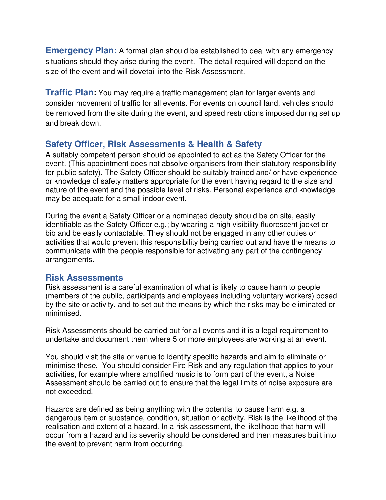**Emergency Plan:** A formal plan should be established to deal with any emergency situations should they arise during the event. The detail required will depend on the size of the event and will dovetail into the Risk Assessment.

**Traffic Plan:** You may require a traffic management plan for larger events and consider movement of traffic for all events. For events on council land, vehicles should be removed from the site during the event, and speed restrictions imposed during set up and break down.

#### **Safety Officer, Risk Assessments & Health & Safety**

A suitably competent person should be appointed to act as the Safety Officer for the event. (This appointment does not absolve organisers from their statutory responsibility for public safety). The Safety Officer should be suitably trained and/ or have experience or knowledge of safety matters appropriate for the event having regard to the size and nature of the event and the possible level of risks. Personal experience and knowledge may be adequate for a small indoor event.

During the event a Safety Officer or a nominated deputy should be on site, easily identifiable as the Safety Officer e.g.; by wearing a high visibility fluorescent jacket or bib and be easily contactable. They should not be engaged in any other duties or activities that would prevent this responsibility being carried out and have the means to communicate with the people responsible for activating any part of the contingency arrangements.

#### **Risk Assessments**

Risk assessment is a careful examination of what is likely to cause harm to people (members of the public, participants and employees including voluntary workers) posed by the site or activity, and to set out the means by which the risks may be eliminated or minimised.

Risk Assessments should be carried out for all events and it is a legal requirement to undertake and document them where 5 or more employees are working at an event.

You should visit the site or venue to identify specific hazards and aim to eliminate or minimise these. You should consider Fire Risk and any regulation that applies to your activities, for example where amplified music is to form part of the event, a Noise Assessment should be carried out to ensure that the legal limits of noise exposure are not exceeded.

Hazards are defined as being anything with the potential to cause harm e.g. a dangerous item or substance, condition, situation or activity. Risk is the likelihood of the realisation and extent of a hazard. In a risk assessment, the likelihood that harm will occur from a hazard and its severity should be considered and then measures built into the event to prevent harm from occurring.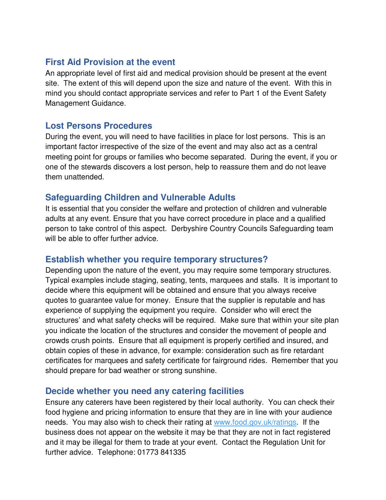#### **First Aid Provision at the event**

An appropriate level of first aid and medical provision should be present at the event site. The extent of this will depend upon the size and nature of the event. With this in mind you should contact appropriate services and refer to Part 1 of the Event Safety Management Guidance.

#### **Lost Persons Procedures**

During the event, you will need to have facilities in place for lost persons. This is an important factor irrespective of the size of the event and may also act as a central meeting point for groups or families who become separated. During the event, if you or one of the stewards discovers a lost person, help to reassure them and do not leave them unattended.

#### **Safeguarding Children and Vulnerable Adults**

It is essential that you consider the welfare and protection of children and vulnerable adults at any event. Ensure that you have correct procedure in place and a qualified person to take control of this aspect. Derbyshire Country Councils Safeguarding team will be able to offer further advice.

#### **Establish whether you require temporary structures?**

Depending upon the nature of the event, you may require some temporary structures. Typical examples include staging, seating, tents, marquees and stalls. It is important to decide where this equipment will be obtained and ensure that you always receive quotes to guarantee value for money. Ensure that the supplier is reputable and has experience of supplying the equipment you require. Consider who will erect the structures' and what safety checks will be required. Make sure that within your site plan you indicate the location of the structures and consider the movement of people and crowds crush points. Ensure that all equipment is properly certified and insured, and obtain copies of these in advance, for example: consideration such as fire retardant certificates for marquees and safety certificate for fairground rides. Remember that you should prepare for bad weather or strong sunshine.

#### **Decide whether you need any catering facilities**

Ensure any caterers have been registered by their local authority. You can check their food hygiene and pricing information to ensure that they are in line with your audience needs. You may also wish to check their rating at www.food.gov.uk/ratings. If the business does not appear on the website it may be that they are not in fact registered and it may be illegal for them to trade at your event. Contact the Regulation Unit for further advice. Telephone: 01773 841335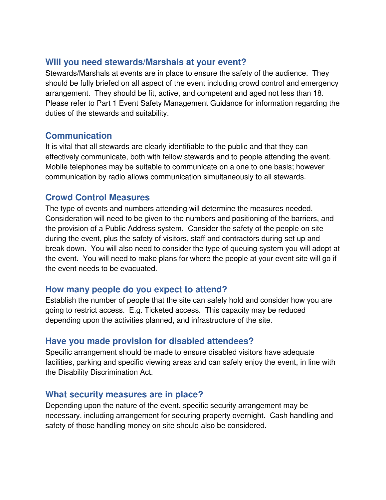#### **Will you need stewards/Marshals at your event?**

Stewards/Marshals at events are in place to ensure the safety of the audience. They should be fully briefed on all aspect of the event including crowd control and emergency arrangement. They should be fit, active, and competent and aged not less than 18. Please refer to Part 1 Event Safety Management Guidance for information regarding the duties of the stewards and suitability.

#### **Communication**

It is vital that all stewards are clearly identifiable to the public and that they can effectively communicate, both with fellow stewards and to people attending the event. Mobile telephones may be suitable to communicate on a one to one basis; however communication by radio allows communication simultaneously to all stewards.

#### **Crowd Control Measures**

The type of events and numbers attending will determine the measures needed. Consideration will need to be given to the numbers and positioning of the barriers, and the provision of a Public Address system. Consider the safety of the people on site during the event, plus the safety of visitors, staff and contractors during set up and break down. You will also need to consider the type of queuing system you will adopt at the event. You will need to make plans for where the people at your event site will go if the event needs to be evacuated.

#### **How many people do you expect to attend?**

Establish the number of people that the site can safely hold and consider how you are going to restrict access. E.g. Ticketed access. This capacity may be reduced depending upon the activities planned, and infrastructure of the site.

#### **Have you made provision for disabled attendees?**

Specific arrangement should be made to ensure disabled visitors have adequate facilities, parking and specific viewing areas and can safely enjoy the event, in line with the Disability Discrimination Act.

#### **What security measures are in place?**

Depending upon the nature of the event, specific security arrangement may be necessary, including arrangement for securing property overnight. Cash handling and safety of those handling money on site should also be considered.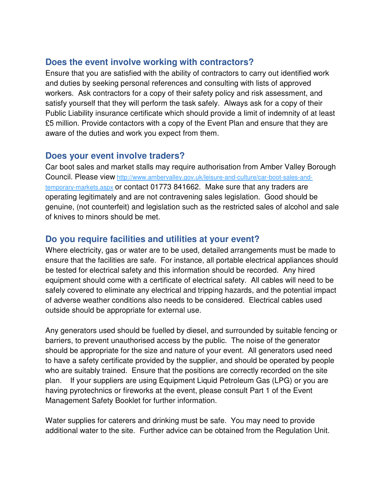#### **Does the event involve working with contractors?**

Ensure that you are satisfied with the ability of contractors to carry out identified work and duties by seeking personal references and consulting with lists of approved workers. Ask contractors for a copy of their safety policy and risk assessment, and satisfy yourself that they will perform the task safely. Always ask for a copy of their Public Liability insurance certificate which should provide a limit of indemnity of at least £5 million. Provide contactors with a copy of the Event Plan and ensure that they are aware of the duties and work you expect from them.

#### **Does your event involve traders?**

Car boot sales and market stalls may require authorisation from Amber Valley Borough Council. Please view http://www.ambervalley.gov.uk/leisure-and-culture/car-boot-sales-andtemporary-markets.aspx or contact 01773 841662. Make sure that any traders are operating legitimately and are not contravening sales legislation. Good should be genuine, (not counterfeit) and legislation such as the restricted sales of alcohol and sale of knives to minors should be met.

#### **Do you require facilities and utilities at your event?**

Where electricity, gas or water are to be used, detailed arrangements must be made to ensure that the facilities are safe. For instance, all portable electrical appliances should be tested for electrical safety and this information should be recorded. Any hired equipment should come with a certificate of electrical safety. All cables will need to be safely covered to eliminate any electrical and tripping hazards, and the potential impact of adverse weather conditions also needs to be considered. Electrical cables used outside should be appropriate for external use.

Any generators used should be fuelled by diesel, and surrounded by suitable fencing or barriers, to prevent unauthorised access by the public. The noise of the generator should be appropriate for the size and nature of your event. All generators used need to have a safety certificate provided by the supplier, and should be operated by people who are suitably trained. Ensure that the positions are correctly recorded on the site plan. If your suppliers are using Equipment Liquid Petroleum Gas (LPG) or you are having pyrotechnics or fireworks at the event, please consult Part 1 of the Event Management Safety Booklet for further information.

Water supplies for caterers and drinking must be safe. You may need to provide additional water to the site. Further advice can be obtained from the Regulation Unit.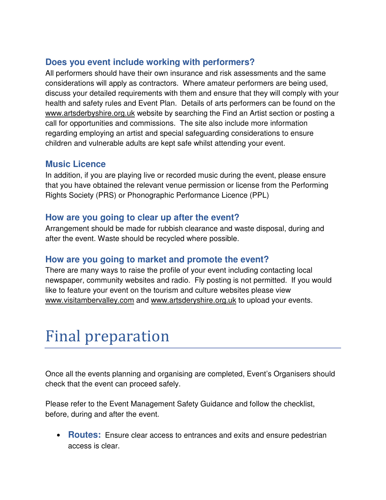#### **Does you event include working with performers?**

All performers should have their own insurance and risk assessments and the same considerations will apply as contractors. Where amateur performers are being used, discuss your detailed requirements with them and ensure that they will comply with your health and safety rules and Event Plan. Details of arts performers can be found on the www.artsderbyshire.org.uk website by searching the Find an Artist section or posting a call for opportunities and commissions. The site also include more information regarding employing an artist and special safeguarding considerations to ensure children and vulnerable adults are kept safe whilst attending your event.

#### **Music Licence**

In addition, if you are playing live or recorded music during the event, please ensure that you have obtained the relevant venue permission or license from the Performing Rights Society (PRS) or Phonographic Performance Licence (PPL)

#### **How are you going to clear up after the event?**

Arrangement should be made for rubbish clearance and waste disposal, during and after the event. Waste should be recycled where possible.

### **How are you going to market and promote the event?**

There are many ways to raise the profile of your event including contacting local newspaper, community websites and radio. Fly posting is not permitted. If you would like to feature your event on the tourism and culture websites please view www.visitambervalley.com and www.artsderyshire.org.uk to upload your events.

## Final preparation

Once all the events planning and organising are completed, Event's Organisers should check that the event can proceed safely.

Please refer to the Event Management Safety Guidance and follow the checklist, before, during and after the event.

• **Routes:** Ensure clear access to entrances and exits and ensure pedestrian access is clear.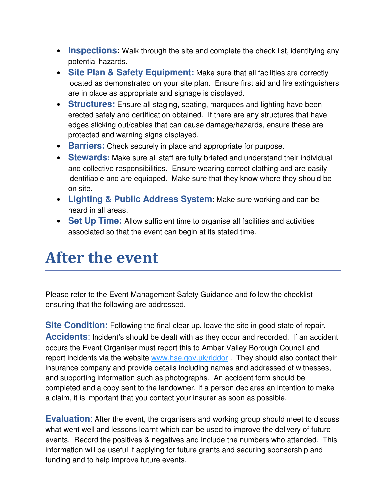- **Inspections:** Walk through the site and complete the check list, identifying any potential hazards.
- **Site Plan & Safety Equipment:** Make sure that all facilities are correctly located as demonstrated on your site plan. Ensure first aid and fire extinguishers are in place as appropriate and signage is displayed.
- **Structures:** Ensure all staging, seating, marquees and lighting have been erected safely and certification obtained. If there are any structures that have edges sticking out/cables that can cause damage/hazards, ensure these are protected and warning signs displayed.
- **Barriers:** Check securely in place and appropriate for purpose.
- **Stewards:** Make sure all staff are fully briefed and understand their individual and collective responsibilities. Ensure wearing correct clothing and are easily identifiable and are equipped. Make sure that they know where they should be on site.
- **Lighting & Public Address System**: Make sure working and can be heard in all areas.
- **Set Up Time:** Allow sufficient time to organise all facilities and activities associated so that the event can begin at its stated time.

### **After the event**

Please refer to the Event Management Safety Guidance and follow the checklist ensuring that the following are addressed.

**Site Condition:** Following the final clear up, leave the site in good state of repair. **Accidents**: Incident's should be dealt with as they occur and recorded. If an accident occurs the Event Organiser must report this to Amber Valley Borough Council and report incidents via the website www.hse.gov.uk/riddor . They should also contact their insurance company and provide details including names and addressed of witnesses, and supporting information such as photographs. An accident form should be completed and a copy sent to the landowner. If a person declares an intention to make a claim, it is important that you contact your insurer as soon as possible.

**Evaluation**: After the event, the organisers and working group should meet to discuss what went well and lessons learnt which can be used to improve the delivery of future events. Record the positives & negatives and include the numbers who attended. This information will be useful if applying for future grants and securing sponsorship and funding and to help improve future events.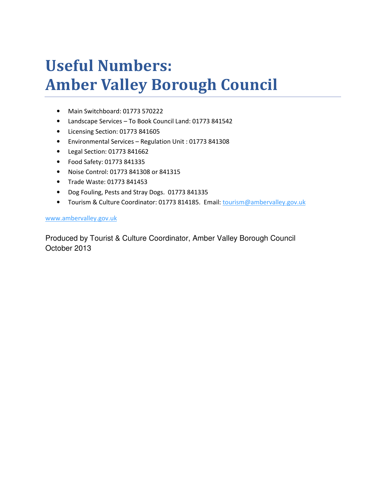# **Useful Numbers: Amber Valley Borough Council**

- Main Switchboard: 01773 570222
- Landscape Services To Book Council Land: 01773 841542
- Licensing Section: 01773 841605
- Environmental Services Regulation Unit : 01773 841308
- Legal Section: 01773 841662
- Food Safety: 01773 841335
- Noise Control: 01773 841308 or 841315
- Trade Waste: 01773 841453
- Dog Fouling, Pests and Stray Dogs. 01773 841335
- Tourism & Culture Coordinator: 01773 814185. Email: tourism@ambervalley.gov.uk

#### www.ambervalley.gov.uk

Produced by Tourist & Culture Coordinator, Amber Valley Borough Council October 2013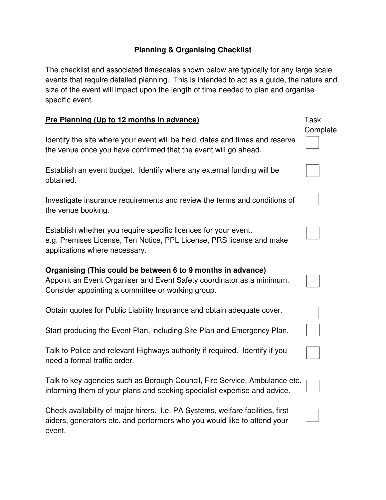#### **Planning & Organising Checklist**

The checklist and associated timescales shown below are typically for any large scale events that require detailed planning. This is intended to act as a guide, the nature and size of the event will impact upon the length of time needed to plan and organise specific event.

| Pre Planning (Up to 12 months in advance)                                                                                                                                                 | Task     |
|-------------------------------------------------------------------------------------------------------------------------------------------------------------------------------------------|----------|
| Identify the site where your event will be held, dates and times and reserve<br>the venue once you have confirmed that the event will go ahead.                                           | Complete |
| Establish an event budget. Identify where any external funding will be<br>obtained.                                                                                                       |          |
| Investigate insurance requirements and review the terms and conditions of<br>the venue booking.                                                                                           |          |
| Establish whether you require specific licences for your event.<br>e.g. Premises License, Ten Notice, PPL License, PRS license and make<br>applications where necessary.                  |          |
| Organising (This could be between 6 to 9 months in advance)<br>Appoint an Event Organiser and Event Safety coordinator as a minimum.<br>Consider appointing a committee or working group. |          |
| Obtain quotes for Public Liability Insurance and obtain adequate cover.                                                                                                                   |          |
| Start producing the Event Plan, including Site Plan and Emergency Plan.                                                                                                                   |          |
| Talk to Police and relevant Highways authority if required. Identify if you<br>need a formal traffic order.                                                                               |          |
| Talk to key agencies such as Borough Council, Fire Service, Ambulance etc.<br>informing them of your plans and seeking specialist expertise and advice.                                   |          |
| Check availability of major hirers. I.e. PA Systems, welfare facilities, first<br>aiders, generators etc. and performers who you would like to attend your<br>event.                      |          |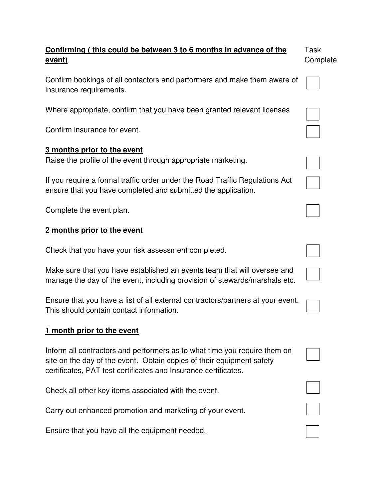| Confirming (this could be between 3 to 6 months in advance of the                                                                                                                                                     | Task     |
|-----------------------------------------------------------------------------------------------------------------------------------------------------------------------------------------------------------------------|----------|
| <u>event)</u>                                                                                                                                                                                                         | Complete |
| Confirm bookings of all contactors and performers and make them aware of<br>insurance requirements.                                                                                                                   |          |
| Where appropriate, confirm that you have been granted relevant licenses                                                                                                                                               |          |
| Confirm insurance for event.                                                                                                                                                                                          |          |
| 3 months prior to the event                                                                                                                                                                                           |          |
| Raise the profile of the event through appropriate marketing.                                                                                                                                                         |          |
| If you require a formal traffic order under the Road Traffic Regulations Act<br>ensure that you have completed and submitted the application.                                                                         |          |
| Complete the event plan.                                                                                                                                                                                              |          |
| 2 months prior to the event                                                                                                                                                                                           |          |
| Check that you have your risk assessment completed.                                                                                                                                                                   |          |
| Make sure that you have established an events team that will oversee and<br>manage the day of the event, including provision of stewards/marshals etc.                                                                |          |
| Ensure that you have a list of all external contractors/partners at your event.<br>This should contain contact information.                                                                                           |          |
| 1 month prior to the event                                                                                                                                                                                            |          |
| Inform all contractors and performers as to what time you require them on<br>site on the day of the event. Obtain copies of their equipment safety<br>certificates, PAT test certificates and Insurance certificates. |          |
| Check all other key items associated with the event.                                                                                                                                                                  |          |
| Carry out enhanced promotion and marketing of your event.                                                                                                                                                             |          |
| Ensure that you have all the equipment needed.                                                                                                                                                                        |          |

e that you have all the equipment need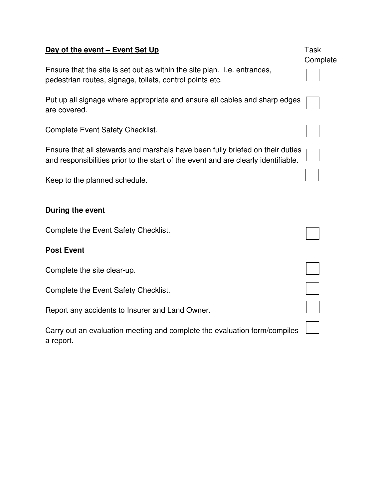### Task **Day of the event – Event Set Up Complete** Ensure that the site is set out as within the site plan. I.e. entrances, pedestrian routes, signage, toilets, control points etc. Put up all signage where appropriate and ensure all cables and sharp edges are covered. Complete Event Safety Checklist. Ensure that all stewards and marshals have been fully briefed on their duties and responsibilities prior to the start of the event and are clearly identifiable. Keep to the planned schedule. **During the event**  Complete the Event Safety Checklist. **Post Event** Complete the site clear-up. Complete the Event Safety Checklist. Report any accidents to Insurer and Land Owner. Carry out an evaluation meeting and complete the evaluation form/compiles a report.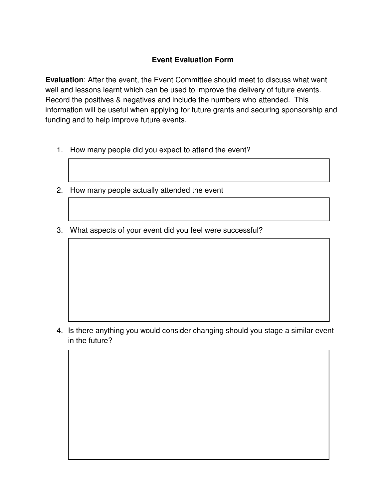#### **Event Evaluation Form**

**Evaluation**: After the event, the Event Committee should meet to discuss what went well and lessons learnt which can be used to improve the delivery of future events. Record the positives & negatives and include the numbers who attended. This information will be useful when applying for future grants and securing sponsorship and funding and to help improve future events.

- 1. How many people did you expect to attend the event?
- 2. How many people actually attended the event
- 3. What aspects of your event did you feel were successful?

4. Is there anything you would consider changing should you stage a similar event in the future?